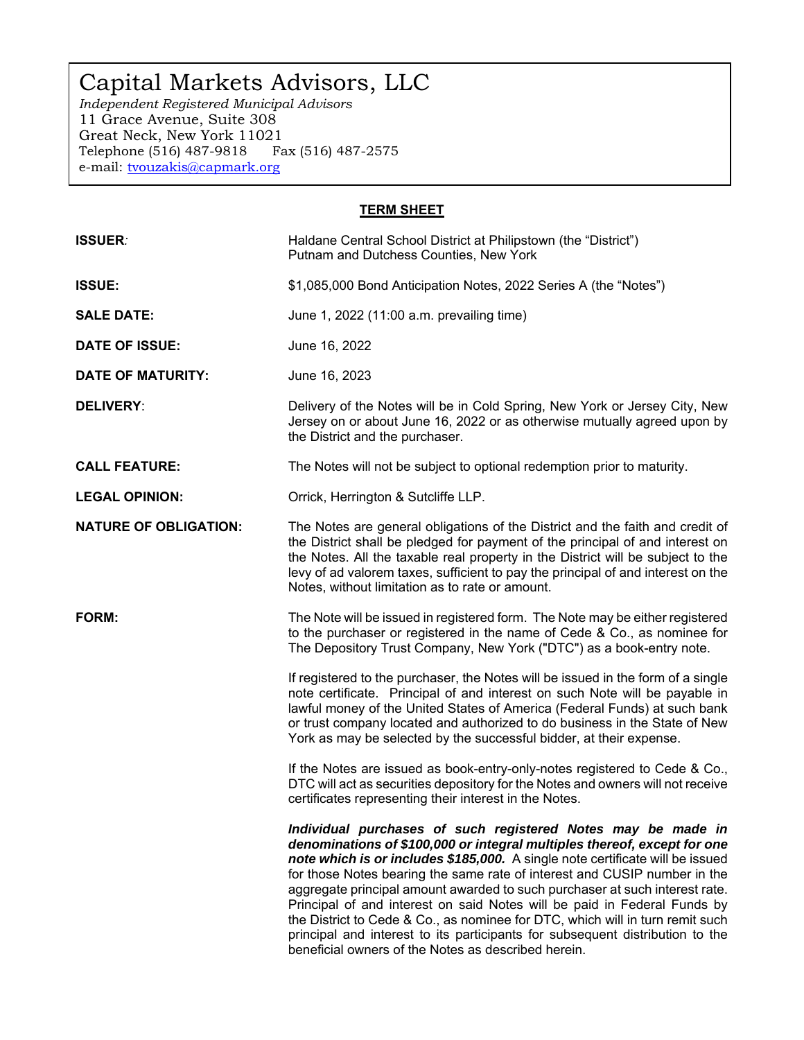# Capital Markets Advisors, LLC

*Independent Registered Municipal Advisors*  11 Grace Avenue, Suite 308 Great Neck, New York 11021 Telephone (516) 487-9818 Fax (516) 487-2575 e-mail: tvouzakis@capmark.org

## **TERM SHEET**

| <b>ISSUER:</b>               | Haldane Central School District at Philipstown (the "District")<br>Putnam and Dutchess Counties, New York                                                                                                                                                                                                                                                                                                                                                                                                                                                                                                                                                                                  |  |
|------------------------------|--------------------------------------------------------------------------------------------------------------------------------------------------------------------------------------------------------------------------------------------------------------------------------------------------------------------------------------------------------------------------------------------------------------------------------------------------------------------------------------------------------------------------------------------------------------------------------------------------------------------------------------------------------------------------------------------|--|
| <b>ISSUE:</b>                | \$1,085,000 Bond Anticipation Notes, 2022 Series A (the "Notes")                                                                                                                                                                                                                                                                                                                                                                                                                                                                                                                                                                                                                           |  |
| <b>SALE DATE:</b>            | June 1, 2022 (11:00 a.m. prevailing time)                                                                                                                                                                                                                                                                                                                                                                                                                                                                                                                                                                                                                                                  |  |
| <b>DATE OF ISSUE:</b>        | June 16, 2022                                                                                                                                                                                                                                                                                                                                                                                                                                                                                                                                                                                                                                                                              |  |
| <b>DATE OF MATURITY:</b>     | June 16, 2023                                                                                                                                                                                                                                                                                                                                                                                                                                                                                                                                                                                                                                                                              |  |
| <b>DELIVERY:</b>             | Delivery of the Notes will be in Cold Spring, New York or Jersey City, New<br>Jersey on or about June 16, 2022 or as otherwise mutually agreed upon by<br>the District and the purchaser.                                                                                                                                                                                                                                                                                                                                                                                                                                                                                                  |  |
| <b>CALL FEATURE:</b>         | The Notes will not be subject to optional redemption prior to maturity.                                                                                                                                                                                                                                                                                                                                                                                                                                                                                                                                                                                                                    |  |
| <b>LEGAL OPINION:</b>        | Orrick, Herrington & Sutcliffe LLP.                                                                                                                                                                                                                                                                                                                                                                                                                                                                                                                                                                                                                                                        |  |
| <b>NATURE OF OBLIGATION:</b> | The Notes are general obligations of the District and the faith and credit of<br>the District shall be pledged for payment of the principal of and interest on<br>the Notes. All the taxable real property in the District will be subject to the<br>levy of ad valorem taxes, sufficient to pay the principal of and interest on the<br>Notes, without limitation as to rate or amount.                                                                                                                                                                                                                                                                                                   |  |
| <b>FORM:</b>                 | The Note will be issued in registered form. The Note may be either registered<br>to the purchaser or registered in the name of Cede & Co., as nominee for<br>The Depository Trust Company, New York ("DTC") as a book-entry note.                                                                                                                                                                                                                                                                                                                                                                                                                                                          |  |
|                              | If registered to the purchaser, the Notes will be issued in the form of a single<br>note certificate. Principal of and interest on such Note will be payable in<br>lawful money of the United States of America (Federal Funds) at such bank<br>or trust company located and authorized to do business in the State of New<br>York as may be selected by the successful bidder, at their expense.                                                                                                                                                                                                                                                                                          |  |
|                              | If the Notes are issued as book-entry-only-notes registered to Cede & Co.,<br>DTC will act as securities depository for the Notes and owners will not receive<br>certificates representing their interest in the Notes.                                                                                                                                                                                                                                                                                                                                                                                                                                                                    |  |
|                              | Individual purchases of such registered Notes may be made in<br>denominations of \$100,000 or integral multiples thereof, except for one<br>note which is or includes \$185,000. A single note certificate will be issued<br>for those Notes bearing the same rate of interest and CUSIP number in the<br>aggregate principal amount awarded to such purchaser at such interest rate.<br>Principal of and interest on said Notes will be paid in Federal Funds by<br>the District to Cede & Co., as nominee for DTC, which will in turn remit such<br>principal and interest to its participants for subsequent distribution to the<br>beneficial owners of the Notes as described herein. |  |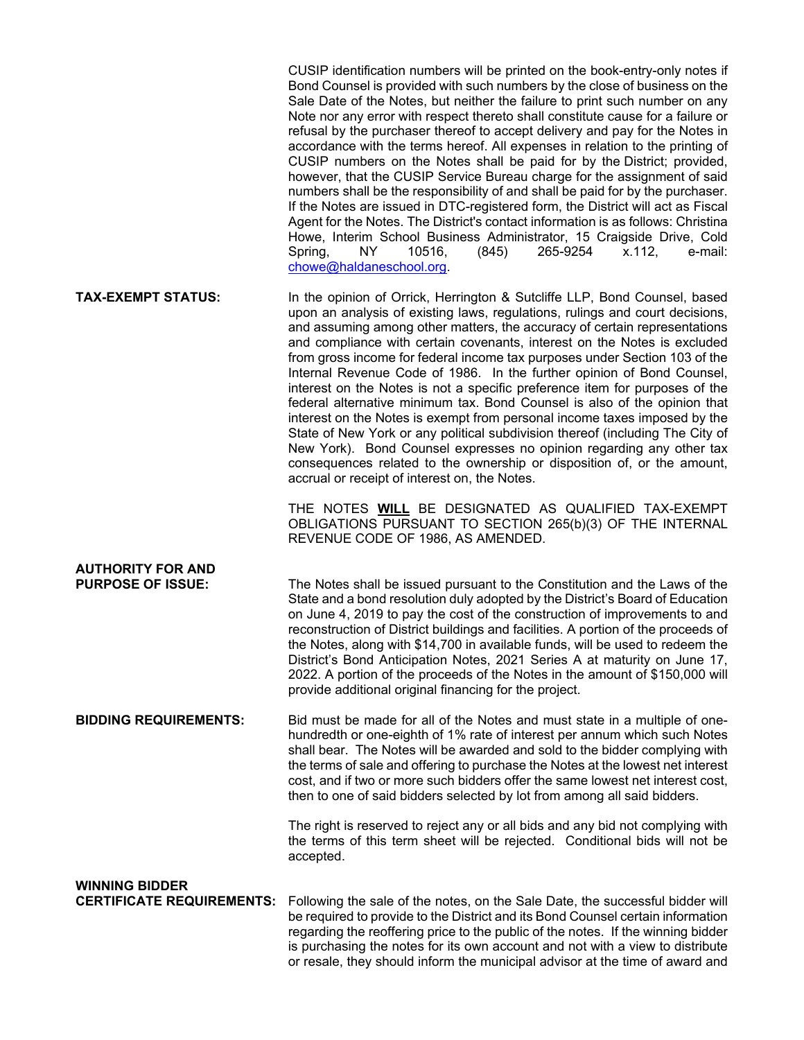|                                                           | CUSIP identification numbers will be printed on the book-entry-only notes if<br>Bond Counsel is provided with such numbers by the close of business on the<br>Sale Date of the Notes, but neither the failure to print such number on any<br>Note nor any error with respect thereto shall constitute cause for a failure or<br>refusal by the purchaser thereof to accept delivery and pay for the Notes in<br>accordance with the terms hereof. All expenses in relation to the printing of<br>CUSIP numbers on the Notes shall be paid for by the District; provided,<br>however, that the CUSIP Service Bureau charge for the assignment of said<br>numbers shall be the responsibility of and shall be paid for by the purchaser.<br>If the Notes are issued in DTC-registered form, the District will act as Fiscal<br>Agent for the Notes. The District's contact information is as follows: Christina<br>Howe, Interim School Business Administrator, 15 Craigside Drive, Cold<br>265-9254<br>e-mail:<br>Spring,<br>NY.<br>10516,<br>(845)<br>x.112,<br>chowe@haldaneschool.org. |
|-----------------------------------------------------------|------------------------------------------------------------------------------------------------------------------------------------------------------------------------------------------------------------------------------------------------------------------------------------------------------------------------------------------------------------------------------------------------------------------------------------------------------------------------------------------------------------------------------------------------------------------------------------------------------------------------------------------------------------------------------------------------------------------------------------------------------------------------------------------------------------------------------------------------------------------------------------------------------------------------------------------------------------------------------------------------------------------------------------------------------------------------------------------|
| <b>TAX-EXEMPT STATUS:</b>                                 | In the opinion of Orrick, Herrington & Sutcliffe LLP, Bond Counsel, based<br>upon an analysis of existing laws, regulations, rulings and court decisions,<br>and assuming among other matters, the accuracy of certain representations<br>and compliance with certain covenants, interest on the Notes is excluded<br>from gross income for federal income tax purposes under Section 103 of the<br>Internal Revenue Code of 1986. In the further opinion of Bond Counsel,<br>interest on the Notes is not a specific preference item for purposes of the<br>federal alternative minimum tax. Bond Counsel is also of the opinion that<br>interest on the Notes is exempt from personal income taxes imposed by the<br>State of New York or any political subdivision thereof (including The City of<br>New York). Bond Counsel expresses no opinion regarding any other tax<br>consequences related to the ownership or disposition of, or the amount,<br>accrual or receipt of interest on, the Notes.                                                                                 |
|                                                           | THE NOTES WILL BE DESIGNATED AS QUALIFIED TAX-EXEMPT<br>OBLIGATIONS PURSUANT TO SECTION 265(b)(3) OF THE INTERNAL<br>REVENUE CODE OF 1986, AS AMENDED.                                                                                                                                                                                                                                                                                                                                                                                                                                                                                                                                                                                                                                                                                                                                                                                                                                                                                                                                   |
| <b>AUTHORITY FOR AND</b><br><b>PURPOSE OF ISSUE:</b>      | The Notes shall be issued pursuant to the Constitution and the Laws of the<br>State and a bond resolution duly adopted by the District's Board of Education<br>on June 4, 2019 to pay the cost of the construction of improvements to and<br>reconstruction of District buildings and facilities. A portion of the proceeds of<br>the Notes, along with \$14,700 in available funds, will be used to redeem the<br>District's Bond Anticipation Notes, 2021 Series A at maturity on June 17,<br>2022. A portion of the proceeds of the Notes in the amount of \$150,000 will<br>provide additional original financing for the project.                                                                                                                                                                                                                                                                                                                                                                                                                                                   |
| <b>BIDDING REQUIREMENTS:</b>                              | Bid must be made for all of the Notes and must state in a multiple of one-<br>hundredth or one-eighth of 1% rate of interest per annum which such Notes<br>shall bear. The Notes will be awarded and sold to the bidder complying with<br>the terms of sale and offering to purchase the Notes at the lowest net interest<br>cost, and if two or more such bidders offer the same lowest net interest cost,<br>then to one of said bidders selected by lot from among all said bidders.                                                                                                                                                                                                                                                                                                                                                                                                                                                                                                                                                                                                  |
|                                                           | The right is reserved to reject any or all bids and any bid not complying with<br>the terms of this term sheet will be rejected. Conditional bids will not be<br>accepted.                                                                                                                                                                                                                                                                                                                                                                                                                                                                                                                                                                                                                                                                                                                                                                                                                                                                                                               |
| <b>WINNING BIDDER</b><br><b>CERTIFICATE REQUIREMENTS:</b> | Following the sale of the notes, on the Sale Date, the successful bidder will<br>be required to provide to the District and its Bond Counsel certain information<br>regarding the reoffering price to the public of the notes. If the winning bidder<br>is purchasing the notes for its own account and not with a view to distribute                                                                                                                                                                                                                                                                                                                                                                                                                                                                                                                                                                                                                                                                                                                                                    |

or resale, they should inform the municipal advisor at the time of award and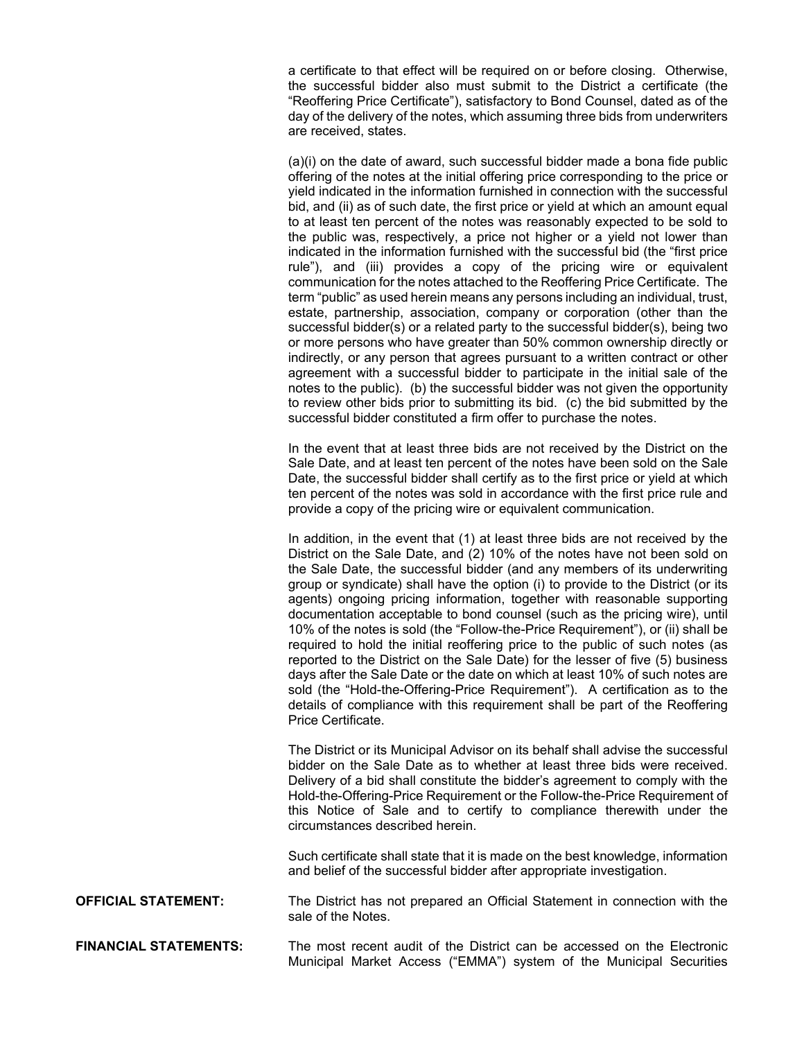a certificate to that effect will be required on or before closing. Otherwise, the successful bidder also must submit to the District a certificate (the "Reoffering Price Certificate"), satisfactory to Bond Counsel, dated as of the day of the delivery of the notes, which assuming three bids from underwriters are received, states.

(a)(i) on the date of award, such successful bidder made a bona fide public offering of the notes at the initial offering price corresponding to the price or yield indicated in the information furnished in connection with the successful bid, and (ii) as of such date, the first price or yield at which an amount equal to at least ten percent of the notes was reasonably expected to be sold to the public was, respectively, a price not higher or a yield not lower than indicated in the information furnished with the successful bid (the "first price rule"), and (iii) provides a copy of the pricing wire or equivalent communication for the notes attached to the Reoffering Price Certificate. The term "public" as used herein means any persons including an individual, trust, estate, partnership, association, company or corporation (other than the successful bidder(s) or a related party to the successful bidder(s), being two or more persons who have greater than 50% common ownership directly or indirectly, or any person that agrees pursuant to a written contract or other agreement with a successful bidder to participate in the initial sale of the notes to the public). (b) the successful bidder was not given the opportunity to review other bids prior to submitting its bid. (c) the bid submitted by the successful bidder constituted a firm offer to purchase the notes.

In the event that at least three bids are not received by the District on the Sale Date, and at least ten percent of the notes have been sold on the Sale Date, the successful bidder shall certify as to the first price or yield at which ten percent of the notes was sold in accordance with the first price rule and provide a copy of the pricing wire or equivalent communication.

In addition, in the event that (1) at least three bids are not received by the District on the Sale Date, and (2) 10% of the notes have not been sold on the Sale Date, the successful bidder (and any members of its underwriting group or syndicate) shall have the option (i) to provide to the District (or its agents) ongoing pricing information, together with reasonable supporting documentation acceptable to bond counsel (such as the pricing wire), until 10% of the notes is sold (the "Follow-the-Price Requirement"), or (ii) shall be required to hold the initial reoffering price to the public of such notes (as reported to the District on the Sale Date) for the lesser of five (5) business days after the Sale Date or the date on which at least 10% of such notes are sold (the "Hold-the-Offering-Price Requirement"). A certification as to the details of compliance with this requirement shall be part of the Reoffering Price Certificate.

The District or its Municipal Advisor on its behalf shall advise the successful bidder on the Sale Date as to whether at least three bids were received. Delivery of a bid shall constitute the bidder's agreement to comply with the Hold-the-Offering-Price Requirement or the Follow-the-Price Requirement of this Notice of Sale and to certify to compliance therewith under the circumstances described herein.

Such certificate shall state that it is made on the best knowledge, information and belief of the successful bidder after appropriate investigation.

**OFFICIAL STATEMENT:** The District has not prepared an Official Statement in connection with the sale of the Notes.

**FINANCIAL STATEMENTS:** The most recent audit of the District can be accessed on the Electronic Municipal Market Access ("EMMA") system of the Municipal Securities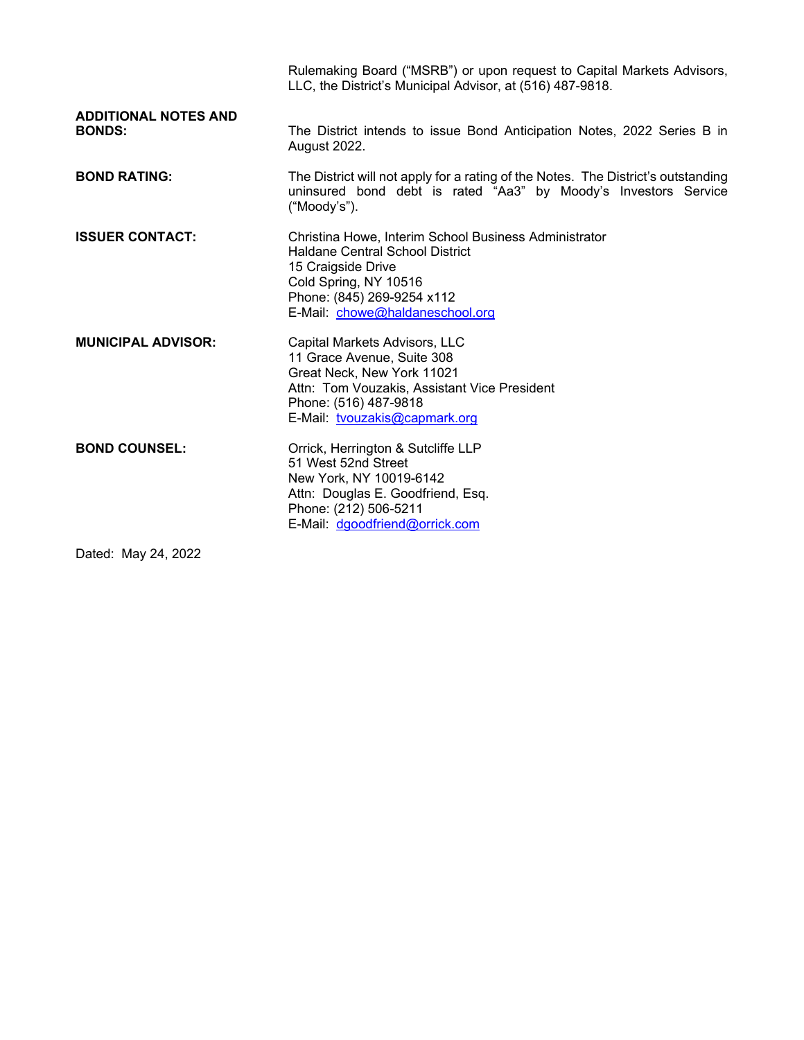|                                              | Rulemaking Board ("MSRB") or upon request to Capital Markets Advisors,<br>LLC, the District's Municipal Advisor, at (516) 487-9818.                                                                             |
|----------------------------------------------|-----------------------------------------------------------------------------------------------------------------------------------------------------------------------------------------------------------------|
| <b>ADDITIONAL NOTES AND</b><br><b>BONDS:</b> | The District intends to issue Bond Anticipation Notes, 2022 Series B in<br><b>August 2022.</b>                                                                                                                  |
| <b>BOND RATING:</b>                          | The District will not apply for a rating of the Notes. The District's outstanding<br>uninsured bond debt is rated "Aa3" by Moody's Investors Service<br>("Moody's").                                            |
| <b>ISSUER CONTACT:</b>                       | Christina Howe, Interim School Business Administrator<br><b>Haldane Central School District</b><br>15 Craigside Drive<br>Cold Spring, NY 10516<br>Phone: (845) 269-9254 x112<br>E-Mail: chowe@haldaneschool.org |
| <b>MUNICIPAL ADVISOR:</b>                    | Capital Markets Advisors, LLC<br>11 Grace Avenue, Suite 308<br>Great Neck, New York 11021<br>Attn: Tom Vouzakis, Assistant Vice President<br>Phone: (516) 487-9818<br>E-Mail: tvouzakis@capmark.org             |
| <b>BOND COUNSEL:</b>                         | Orrick, Herrington & Sutcliffe LLP<br>51 West 52nd Street<br>New York, NY 10019-6142<br>Attn: Douglas E. Goodfriend, Esq.<br>Phone: (212) 506-5211<br>E-Mail: dgoodfriend@orrick.com                            |

Dated: May 24, 2022